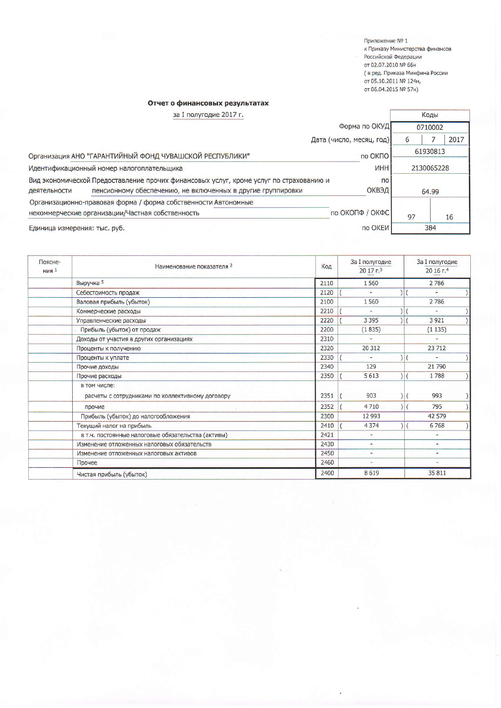Приложение № 1 к Приказу Министерства финансов Российской Федерации от 02.07.2010 № 66н ( в ред. Приказа Минфина России<br>от 05.10.2011 № 124н, от 06.04.2015 № 57н)

## Отчет о финансовых результатах

| за I полугодие 2017 г.                                                                 |                          |    | Коды       |
|----------------------------------------------------------------------------------------|--------------------------|----|------------|
|                                                                                        | Форма по ОКУД            |    | 0710002    |
|                                                                                        | Дата (число, месяц, год) | 6  | 2017       |
| Организация АНО "ГАРАНТИЙНЫЙ ФОНД ЧУВАШСКОЙ РЕСПУБЛИКИ"                                | по ОКПО                  |    | 61930813   |
| Идентификационный номер налогоплательщика                                              | <b>MHH</b>               |    | 2130065228 |
| Вид экономической Предоставление прочих финансовых услуг, кроме услуг по страхованию и | $\overline{10}$          |    |            |
| пенсионному обеспечению, не включенных в другие группировки<br>деятельности            | <b>ОКВЭД</b><br>64.99    |    |            |
| Организационно-правовая форма / форма собственности Автономные                         |                          |    |            |
| некоммерческие организации/Частная собственность                                       | по ОКОПФ / ОКФС          | 97 | 16         |
| Единица измерения: тыс. руб.                                                           | по ОКЕИ                  |    | 384        |

| Поясне-<br>$H$ ИЯ <sup>1</sup> | Наименование показателя 2                                        | Код  | За I полугодие<br>2017 <sub>5</sub> | За I полугодие<br>20 16 г.4  |
|--------------------------------|------------------------------------------------------------------|------|-------------------------------------|------------------------------|
|                                | Выручка 5                                                        | 2110 | 1560                                | 2786                         |
|                                | Себестоимость продаж                                             | 2120 |                                     | ×,                           |
|                                | Валовая прибыль (убыток)                                         | 2100 | 1560                                | 2786                         |
|                                | Коммерческие расходы                                             | 2210 |                                     | ٠                            |
|                                | Управленческие расходы                                           | 2220 | 3 3 9 5                             | 3 9 21                       |
|                                | Прибыль (убыток) от продаж                                       | 2200 | (1835)                              | (1135)                       |
|                                | Доходы от участия в других организациях                          | 2310 |                                     |                              |
|                                | Проценты к получению                                             | 2320 | 20 312                              | 23712                        |
|                                | Проценты к уплате                                                | 2330 | $\rightarrow$                       | $\qquad \qquad \blacksquare$ |
|                                | Прочие доходы                                                    | 2340 | 129                                 | 21790                        |
|                                | Прочие расходы                                                   | 2350 | 5613                                | 1788                         |
|                                | в том числе:<br>расчеты с сотрудниками по коллективному договору | 2351 | 903                                 | 993<br>$\vert$ (             |
|                                | прочие                                                           | 2352 | 4710                                | ) <br>795                    |
|                                | Прибыль (убыток) до налогообложения                              | 2300 | 12 9 93                             | 42 579                       |
|                                | Текущий налог на прибыль                                         | 2410 | 4374                                | 6768                         |
|                                | в т.ч. постоянные налоговые обязательства (активы)               | 2421 |                                     | ۰                            |
|                                | Изменение отложенных налоговых обязательств                      | 2430 | ۰                                   | ÷.                           |
|                                | Изменение отложенных налоговых активов                           | 2450 | ٠                                   | ٠                            |
|                                | Прочее                                                           | 2460 | $\frac{1}{2}$                       | ٠                            |
|                                | Чистая прибыль (убыток)                                          | 2400 | 8619                                | 35811                        |